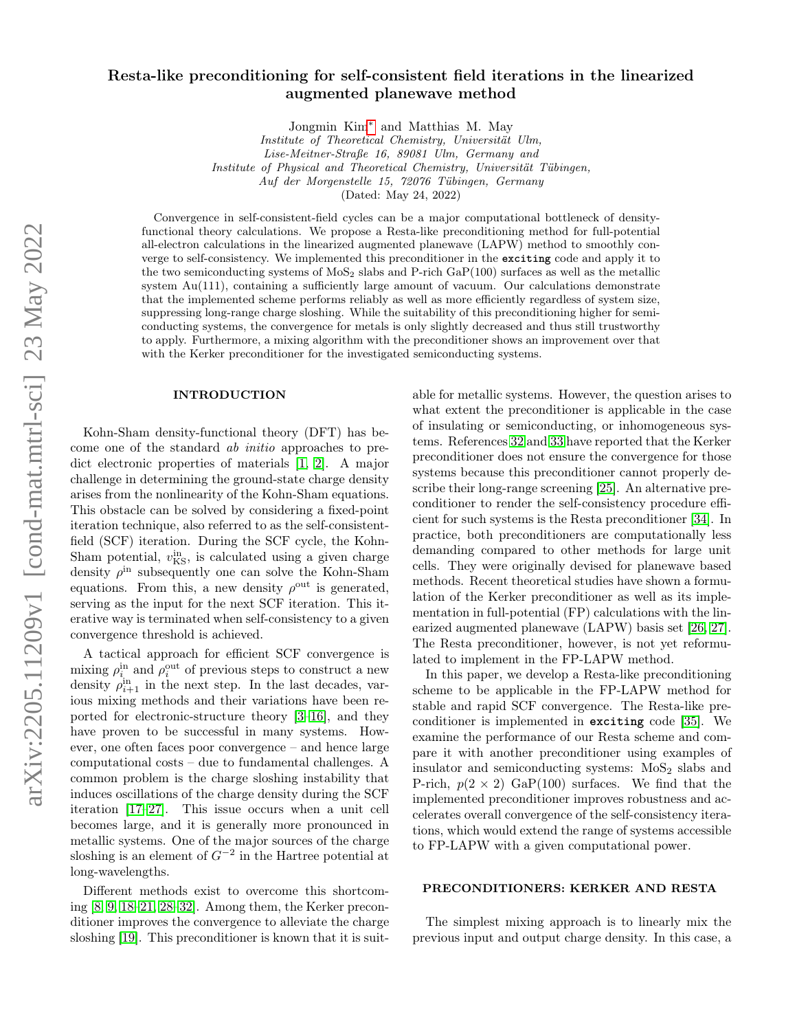# Resta-like preconditioning for self-consistent field iterations in the linearized augmented planewave method

Jongmin Kim[∗](#page-5-0) and Matthias M. May

Institute of Theoretical Chemistry, Universität Ulm, Lise-Meitner-Straße 16, 89081 Ulm, Germany and Institute of Physical and Theoretical Chemistry, Universität Tübingen, Auf der Morgenstelle 15, 72076 Tübingen, Germany

(Dated: May 24, 2022)

Convergence in self-consistent-field cycles can be a major computational bottleneck of densityfunctional theory calculations. We propose a Resta-like preconditioning method for full-potential all-electron calculations in the linearized augmented planewave (LAPW) method to smoothly converge to self-consistency. We implemented this preconditioner in the **exciting** code and apply it to the two semiconducting systems of  $MoS<sub>2</sub>$  slabs and P-rich GaP(100) surfaces as well as the metallic system Au(111), containing a sufficiently large amount of vacuum. Our calculations demonstrate that the implemented scheme performs reliably as well as more efficiently regardless of system size, suppressing long-range charge sloshing. While the suitability of this preconditioning higher for semiconducting systems, the convergence for metals is only slightly decreased and thus still trustworthy to apply. Furthermore, a mixing algorithm with the preconditioner shows an improvement over that with the Kerker preconditioner for the investigated semiconducting systems.

### INTRODUCTION

Kohn-Sham density-functional theory (DFT) has become one of the standard ab initio approaches to predict electronic properties of materials [\[1,](#page-5-1) [2\]](#page-5-2). A major challenge in determining the ground-state charge density arises from the nonlinearity of the Kohn-Sham equations. This obstacle can be solved by considering a fixed-point iteration technique, also referred to as the self-consistentfield (SCF) iteration. During the SCF cycle, the Kohn-Sham potential,  $v_{\text{KS}}^{\text{in}}$ , is calculated using a given charge density  $\rho^{\text{in}}$  subsequently one can solve the Kohn-Sham equations. From this, a new density  $\rho^{\text{out}}$  is generated, serving as the input for the next SCF iteration. This iterative way is terminated when self-consistency to a given convergence threshold is achieved.

A tactical approach for efficient SCF convergence is mixing  $\rho_i^{\text{in}}$  and  $\rho_i^{\text{out}}$  of previous steps to construct a new density  $\rho_{i+1}^{\text{in}}$  in the next step. In the last decades, various mixing methods and their variations have been reported for electronic-structure theory [\[3–](#page-5-3)[16\]](#page-5-4), and they have proven to be successful in many systems. However, one often faces poor convergence – and hence large computational costs – due to fundamental challenges. A common problem is the charge sloshing instability that induces oscillations of the charge density during the SCF iteration [\[17](#page-5-5)[–27\]](#page-5-6). This issue occurs when a unit cell becomes large, and it is generally more pronounced in metallic systems. One of the major sources of the charge sloshing is an element of  $G^{-2}$  in the Hartree potential at long-wavelengths.

Different methods exist to overcome this shortcoming [\[8,](#page-5-7) [9,](#page-5-8) [18–](#page-5-9)[21,](#page-5-10) [28–](#page-5-11)[32\]](#page-5-12). Among them, the Kerker preconditioner improves the convergence to alleviate the charge sloshing [\[19\]](#page-5-13). This preconditioner is known that it is suit-

able for metallic systems. However, the question arises to what extent the preconditioner is applicable in the case of insulating or semiconducting, or inhomogeneous systems. References [32](#page-5-12) and [33](#page-6-0) have reported that the Kerker preconditioner does not ensure the convergence for those systems because this preconditioner cannot properly describe their long-range screening [\[25\]](#page-5-14). An alternative preconditioner to render the self-consistency procedure efficient for such systems is the Resta preconditioner [\[34\]](#page-6-1). In practice, both preconditioners are computationally less demanding compared to other methods for large unit cells. They were originally devised for planewave based methods. Recent theoretical studies have shown a formulation of the Kerker preconditioner as well as its implementation in full-potential (FP) calculations with the linearized augmented planewave (LAPW) basis set [\[26,](#page-5-15) [27\]](#page-5-6). The Resta preconditioner, however, is not yet reformulated to implement in the FP-LAPW method.

In this paper, we develop a Resta-like preconditioning scheme to be applicable in the FP-LAPW method for stable and rapid SCF convergence. The Resta-like preconditioner is implemented in **exciting** code [\[35\]](#page-6-2). We examine the performance of our Resta scheme and compare it with another preconditioner using examples of insulator and semiconducting systems:  $MoS<sub>2</sub>$  slabs and P-rich,  $p(2 \times 2)$  GaP(100) surfaces. We find that the implemented preconditioner improves robustness and accelerates overall convergence of the self-consistency iterations, which would extend the range of systems accessible to FP-LAPW with a given computational power.

## PRECONDITIONERS: KERKER AND RESTA

The simplest mixing approach is to linearly mix the previous input and output charge density. In this case, a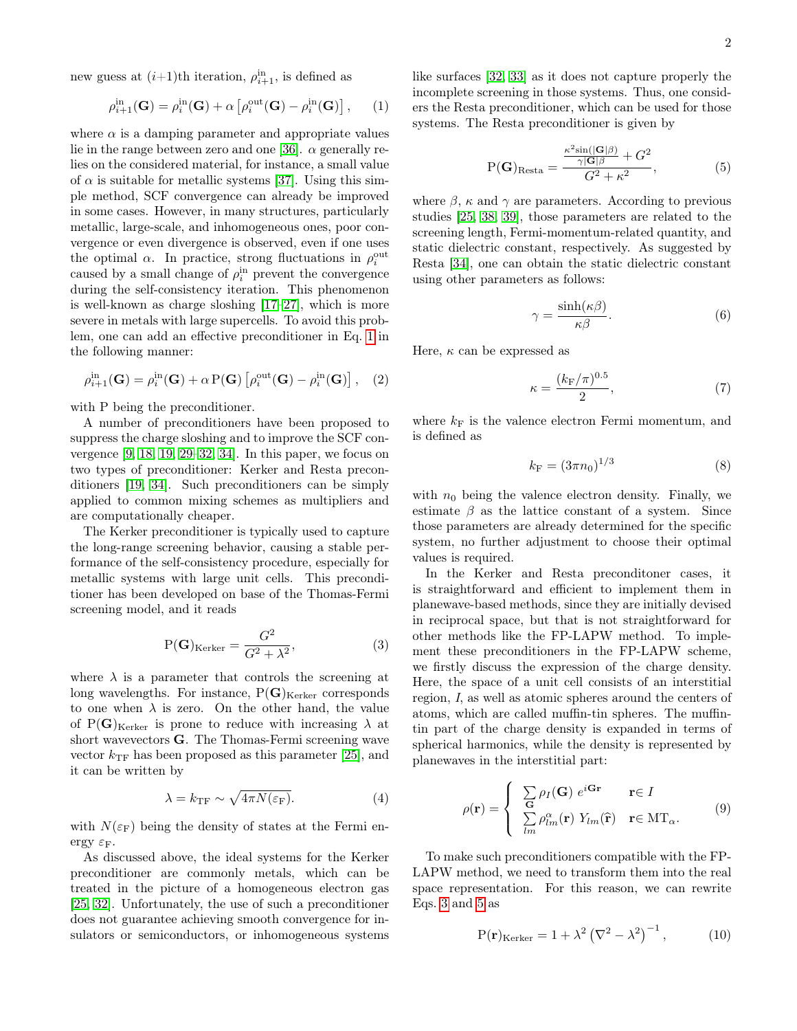new guess at  $(i+1)$ th iteration,  $\rho^{\text{in}}_{i+1}$ , is defined as

<span id="page-1-0"></span>
$$
\rho_{i+1}^{\text{in}}(\mathbf{G}) = \rho_i^{\text{in}}(\mathbf{G}) + \alpha \left[ \rho_i^{\text{out}}(\mathbf{G}) - \rho_i^{\text{in}}(\mathbf{G}) \right], \qquad (1)
$$

where  $\alpha$  is a damping parameter and appropriate values lie in the range between zero and one [\[36\]](#page-6-3).  $\alpha$  generally relies on the considered material, for instance, a small value of  $\alpha$  is suitable for metallic systems [\[37\]](#page-6-4). Using this simple method, SCF convergence can already be improved in some cases. However, in many structures, particularly metallic, large-scale, and inhomogeneous ones, poor convergence or even divergence is observed, even if one uses the optimal  $\alpha$ . In practice, strong fluctuations in  $\rho_i^{\text{out}}$ caused by a small change of  $\rho_i^{\text{in}}$  prevent the convergence during the self-consistency iteration. This phenomenon is well-known as charge sloshing [\[17–](#page-5-5)[27\]](#page-5-6), which is more severe in metals with large supercells. To avoid this problem, one can add an effective preconditioner in Eq. [1](#page-1-0) in the following manner:

$$
\rho_{i+1}^{\text{in}}(\mathbf{G}) = \rho_i^{\text{in}}(\mathbf{G}) + \alpha \, \text{P}(\mathbf{G}) \left[ \rho_i^{\text{out}}(\mathbf{G}) - \rho_i^{\text{in}}(\mathbf{G}) \right], \quad (2)
$$

with P being the preconditioner.

A number of preconditioners have been proposed to suppress the charge sloshing and to improve the SCF convergence [\[9,](#page-5-8) [18,](#page-5-9) [19,](#page-5-13) [29](#page-5-16)[–32,](#page-5-12) [34\]](#page-6-1). In this paper, we focus on two types of preconditioner: Kerker and Resta preconditioners [\[19,](#page-5-13) [34\]](#page-6-1). Such preconditioners can be simply applied to common mixing schemes as multipliers and are computationally cheaper.

The Kerker preconditioner is typically used to capture the long-range screening behavior, causing a stable performance of the self-consistency procedure, especially for metallic systems with large unit cells. This preconditioner has been developed on base of the Thomas-Fermi screening model, and it reads

<span id="page-1-1"></span>
$$
P(G)_{Kerker} = \frac{G^2}{G^2 + \lambda^2},
$$
\n(3)

where  $\lambda$  is a parameter that controls the screening at long wavelengths. For instance,  $P(G)_{Kerker}$  corresponds to one when  $\lambda$  is zero. On the other hand, the value of P(G)<sub>Kerker</sub> is prone to reduce with increasing  $\lambda$  at short wavevectors G. The Thomas-Fermi screening wave vector  $k_{\text{TF}}$  has been proposed as this parameter [\[25\]](#page-5-14), and it can be written by

<span id="page-1-4"></span>
$$
\lambda = k_{\rm TF} \sim \sqrt{4\pi N(\varepsilon_{\rm F})}.
$$
\n(4)

with  $N(\varepsilon_F)$  being the density of states at the Fermi energy  $\varepsilon_{\rm F}$ .

As discussed above, the ideal systems for the Kerker preconditioner are commonly metals, which can be treated in the picture of a homogeneous electron gas [\[25,](#page-5-14) [32\]](#page-5-12). Unfortunately, the use of such a preconditioner does not guarantee achieving smooth convergence for insulators or semiconductors, or inhomogeneous systems like surfaces [\[32,](#page-5-12) [33\]](#page-6-0) as it does not capture properly the incomplete screening in those systems. Thus, one considers the Resta preconditioner, which can be used for those systems. The Resta preconditioner is given by

<span id="page-1-2"></span>
$$
P(G)_{\text{Resta}} = \frac{\frac{\kappa^2 \sin(|G|\beta)}{\gamma|G|\beta} + G^2}{G^2 + \kappa^2},\tag{5}
$$

where  $\beta$ ,  $\kappa$  and  $\gamma$  are parameters. According to previous studies [\[25,](#page-5-14) [38,](#page-6-5) [39\]](#page-6-6), those parameters are related to the screening length, Fermi-momentum-related quantity, and static dielectric constant, respectively. As suggested by Resta [\[34\]](#page-6-1), one can obtain the static dielectric constant using other parameters as follows:

$$
\gamma = \frac{\sinh(\kappa \beta)}{\kappa \beta}.
$$
\n(6)

Here,  $\kappa$  can be expressed as

$$
\kappa = \frac{(k_{\rm F}/\pi)^{0.5}}{2},\tag{7}
$$

where  $k_F$  is the valence electron Fermi momentum, and is defined as

$$
k_{\rm F} = (3\pi n_0)^{1/3} \tag{8}
$$

with  $n_0$  being the valence electron density. Finally, we estimate  $\beta$  as the lattice constant of a system. Since those parameters are already determined for the specific system, no further adjustment to choose their optimal values is required.

In the Kerker and Resta preconditoner cases, it is straightforward and efficient to implement them in planewave-based methods, since they are initially devised in reciprocal space, but that is not straightforward for other methods like the FP-LAPW method. To implement these preconditioners in the FP-LAPW scheme, we firstly discuss the expression of the charge density. Here, the space of a unit cell consists of an interstitial region, I, as well as atomic spheres around the centers of atoms, which are called muffin-tin spheres. The muffintin part of the charge density is expanded in terms of spherical harmonics, while the density is represented by planewaves in the interstitial part:

$$
\rho(\mathbf{r}) = \begin{cases}\n\sum_{\mathbf{G}} \rho_I(\mathbf{G}) e^{i\mathbf{G}\mathbf{r}} & \mathbf{r} \in I \\
\sum_{lm} \rho_{lm}^{\alpha}(\mathbf{r}) Y_{lm}(\hat{\mathbf{r}}) & \mathbf{r} \in \mathrm{MT}_{\alpha}.\n\end{cases}
$$
\n(9)

To make such preconditioners compatible with the FP-LAPW method, we need to transform them into the real space representation. For this reason, we can rewrite Eqs. [3](#page-1-1) and [5](#page-1-2) as

<span id="page-1-3"></span>
$$
P(\mathbf{r})_{\text{Kerker}} = 1 + \lambda^2 \left(\nabla^2 - \lambda^2\right)^{-1},\tag{10}
$$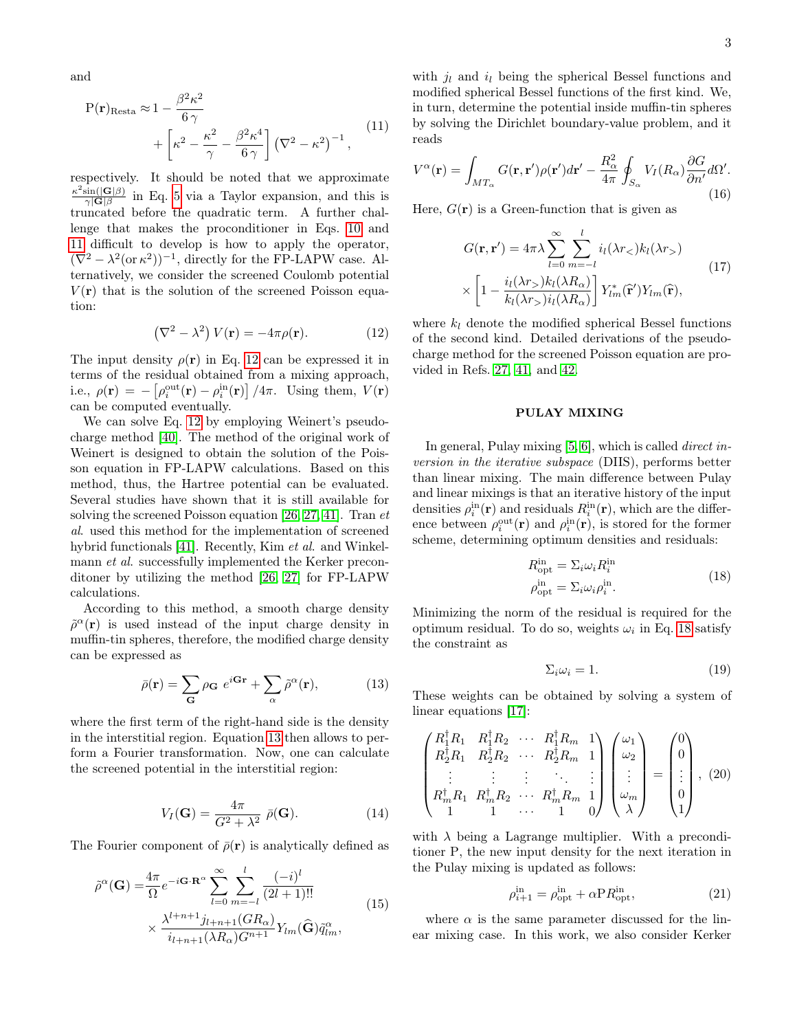and

<span id="page-2-0"></span>
$$
P(\mathbf{r})_{\text{Resta}} \approx 1 - \frac{\beta^2 \kappa^2}{6 \gamma} + \left[ \kappa^2 - \frac{\kappa^2}{\gamma} - \frac{\beta^2 \kappa^4}{6 \gamma} \right] (\nabla^2 - \kappa^2)^{-1}, \tag{11}
$$

respectively. It should be noted that we approximate  $\kappa^2 \sin(|\mathbf{G}|\beta)$  $\frac{\sin(|\mathbf{G}|\beta)}{\gamma|\mathbf{G}|\beta}$  in Eq. [5](#page-1-2) via a Taylor expansion, and this is truncated before the quadratic term. A further challenge that makes the proconditioner in Eqs. [10](#page-1-3) and [11](#page-2-0) difficult to develop is how to apply the operator,  $(\nabla^2 - \lambda^2 (\text{or } \kappa^2))^{-1}$ , directly for the FP-LAPW case. Alternatively, we consider the screened Coulomb potential  $V(\mathbf{r})$  that is the solution of the screened Poisson equation:

<span id="page-2-1"></span>
$$
\left(\nabla^2 - \lambda^2\right) V(\mathbf{r}) = -4\pi \rho(\mathbf{r}).\tag{12}
$$

The input density  $\rho(\mathbf{r})$  in Eq. [12](#page-2-1) can be expressed it in terms of the residual obtained from a mixing approach, i.e.,  $\rho(\mathbf{r}) = -\left[\rho_i^{\text{out}}(\mathbf{r}) - \rho_i^{\text{in}}(\mathbf{r})\right]/4\pi$ . Using them,  $V(\mathbf{r})$ can be computed eventually.

We can solve Eq. [12](#page-2-1) by employing Weinert's pseudocharge method [\[40\]](#page-6-7). The method of the original work of Weinert is designed to obtain the solution of the Poisson equation in FP-LAPW calculations. Based on this method, thus, the Hartree potential can be evaluated. Several studies have shown that it is still available for solving the screened Poisson equation [\[26,](#page-5-15) [27,](#page-5-6) [41\]](#page-6-8). Tran et al. used this method for the implementation of screened hybrid functionals [\[41\]](#page-6-8). Recently, Kim et al. and Winkelmann *et al.* successfully implemented the Kerker preconditoner by utilizing the method [\[26,](#page-5-15) [27\]](#page-5-6) for FP-LAPW calculations.

According to this method, a smooth charge density  $\tilde{\rho}^{\alpha}(\mathbf{r})$  is used instead of the input charge density in muffin-tin spheres, therefore, the modified charge density can be expressed as

<span id="page-2-2"></span>
$$
\bar{\rho}(\mathbf{r}) = \sum_{\mathbf{G}} \rho_{\mathbf{G}} e^{i\mathbf{G}\mathbf{r}} + \sum_{\alpha} \tilde{\rho}^{\alpha}(\mathbf{r}), \qquad (13)
$$

where the first term of the right-hand side is the density in the interstitial region. Equation [13](#page-2-2) then allows to perform a Fourier transformation. Now, one can calculate the screened potential in the interstitial region:

$$
V_I(\mathbf{G}) = \frac{4\pi}{G^2 + \lambda^2} \bar{\rho}(\mathbf{G}).
$$
 (14)

The Fourier component of  $\bar{\rho}(\mathbf{r})$  is analytically defined as

$$
\tilde{\rho}^{\alpha}(\mathbf{G}) = \frac{4\pi}{\Omega} e^{-i\mathbf{G} \cdot \mathbf{R}^{\alpha}} \sum_{l=0}^{\infty} \sum_{m=-l}^{l} \frac{(-i)^{l}}{(2l+1)!!}
$$
\n
$$
\times \frac{\lambda^{l+n+1} j_{l+n+1} (GR_{\alpha})}{i_{l+n+1} (\lambda R_{\alpha}) G^{n+1}} Y_{lm}(\widehat{\mathbf{G}}) \tilde{q}_{lm}^{\alpha}, \tag{15}
$$

with  $j_l$  and  $i_l$  being the spherical Bessel functions and modified spherical Bessel functions of the first kind. We, in turn, determine the potential inside muffin-tin spheres by solving the Dirichlet boundary-value problem, and it reads

$$
V^{\alpha}(\mathbf{r}) = \int_{MT_{\alpha}} G(\mathbf{r}, \mathbf{r}') \rho(\mathbf{r}') d\mathbf{r}' - \frac{R_{\alpha}^{2}}{4\pi} \oint_{S_{\alpha}} V_{I}(R_{\alpha}) \frac{\partial G}{\partial n'} d\Omega'.
$$
\n(16)

Here,  $G(\mathbf{r})$  is a Green-function that is given as

$$
G(\mathbf{r}, \mathbf{r}') = 4\pi\lambda \sum_{l=0}^{\infty} \sum_{m=-l}^{l} i_l(\lambda r_<) k_l(\lambda r_>)
$$
  
 
$$
\times \left[1 - \frac{i_l(\lambda r_>)k_l(\lambda R_\alpha)}{k_l(\lambda r_>)i_l(\lambda R_\alpha)}\right] Y_{lm}^*(\hat{\mathbf{r}}') Y_{lm}(\hat{\mathbf{r}}),
$$
 (17)

where  $k_l$  denote the modified spherical Bessel functions of the second kind. Detailed derivations of the pseudocharge method for the screened Poisson equation are provided in Refs. [27,](#page-5-6) [41,](#page-6-8) and [42.](#page-6-9)

#### PULAY MIXING

In general, Pulay mixing [\[5,](#page-5-17) [6\]](#page-5-18), which is called *direct in*version in the iterative subspace (DIIS), performs better than linear mixing. The main difference between Pulay and linear mixings is that an iterative history of the input densities  $\rho_i^{\text{in}}(\mathbf{r})$  and residuals  $R_i^{\text{in}}(\mathbf{r})$ , which are the difference between  $\rho_i^{\text{out}}(\mathbf{r})$  and  $\rho_i^{\text{in}}(\mathbf{r})$ , is stored for the former scheme, determining optimum densities and residuals:

<span id="page-2-3"></span>
$$
R_{\rm opt}^{\rm in} = \Sigma_i \omega_i R_i^{\rm in}
$$
  
\n
$$
\rho_{\rm opt}^{\rm in} = \Sigma_i \omega_i \rho_i^{\rm in}.
$$
\n(18)

Minimizing the norm of the residual is required for the optimum residual. To do so, weights  $\omega_i$  in Eq. [18](#page-2-3) satisfy the constraint as

$$
\Sigma_i \omega_i = 1. \tag{19}
$$

These weights can be obtained by solving a system of linear equations [\[17\]](#page-5-5):

$$
\begin{pmatrix} R_1^{\dagger} R_1 & R_1^{\dagger} R_2 & \cdots & R_1^{\dagger} R_m & 1 \\ R_2^{\dagger} R_1 & R_2^{\dagger} R_2 & \cdots & R_2^{\dagger} R_m & 1 \\ \vdots & \vdots & \vdots & \ddots & \vdots \\ R_m^{\dagger} R_1 & R_m^{\dagger} R_2 & \cdots & R_m^{\dagger} R_m & 1 \\ 1 & 1 & \cdots & 1 & 0 \end{pmatrix} \begin{pmatrix} \omega_1 \\ \omega_2 \\ \vdots \\ \omega_m \\ \lambda \end{pmatrix} = \begin{pmatrix} 0 \\ 0 \\ \vdots \\ 0 \\ 1 \end{pmatrix}, \tag{20}
$$

with  $\lambda$  being a Lagrange multiplier. With a preconditioner P, the new input density for the next iteration in the Pulay mixing is updated as follows:

<span id="page-2-4"></span>
$$
\rho_{i+1}^{\text{in}} = \rho_{\text{opt}}^{\text{in}} + \alpha \mathbf{P} R_{\text{opt}}^{\text{in}},\tag{21}
$$

where  $\alpha$  is the same parameter discussed for the linear mixing case. In this work, we also consider Kerker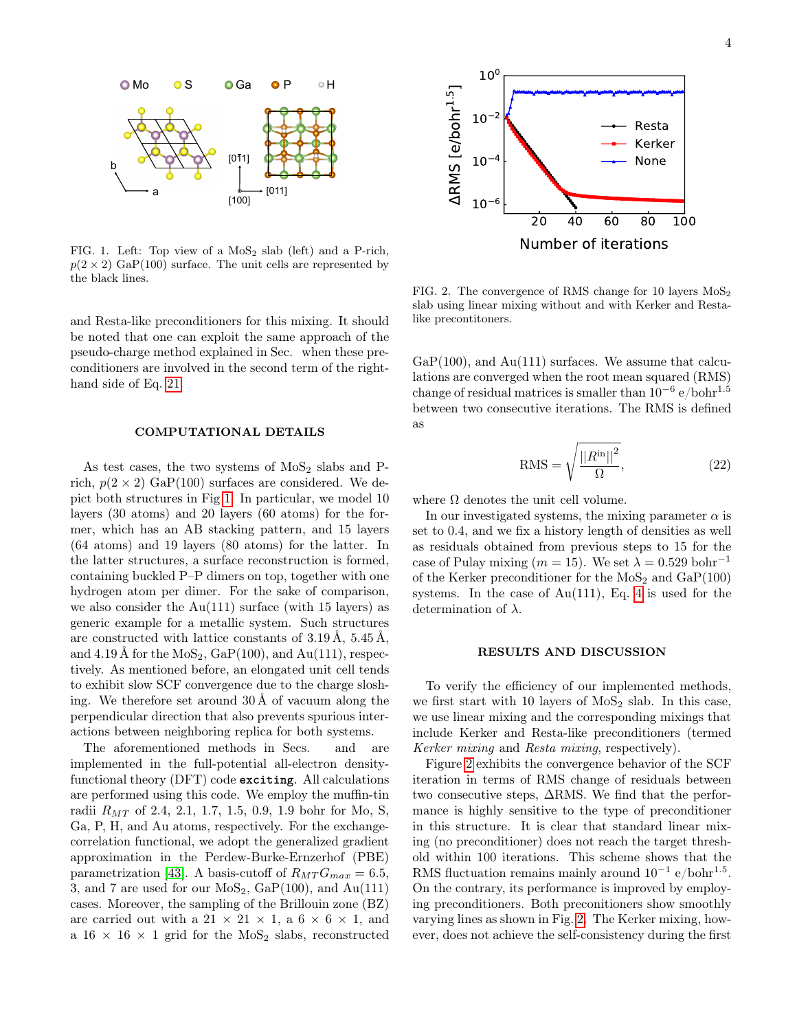

<span id="page-3-0"></span>FIG. 1. Left: Top view of a  $MoS<sub>2</sub>$  slab (left) and a P-rich,  $p(2 \times 2)$  GaP(100) surface. The unit cells are represented by the black lines.

and Resta-like preconditioners for this mixing. It should be noted that one can exploit the same approach of the pseudo-charge method explained in Sec. when these preconditioners are involved in the second term of the righthand side of Eq. [21.](#page-2-4)

#### COMPUTATIONAL DETAILS

As test cases, the two systems of  $MoS<sub>2</sub>$  slabs and Prich,  $p(2 \times 2)$  GaP(100) surfaces are considered. We depict both structures in Fig [1.](#page-3-0) In particular, we model 10 layers (30 atoms) and 20 layers (60 atoms) for the former, which has an AB stacking pattern, and 15 layers (64 atoms) and 19 layers (80 atoms) for the latter. In the latter structures, a surface reconstruction is formed, containing buckled P–P dimers on top, together with one hydrogen atom per dimer. For the sake of comparison, we also consider the  $Au(111)$  surface (with 15 layers) as generic example for a metallic system. Such structures are constructed with lattice constants of 3.19 Å, 5.45 Å, and  $4.19 \text{ Å}$  for the  $\text{MoS}_2$ ,  $\text{GaP}(100)$ , and  $\text{Au}(111)$ , respectively. As mentioned before, an elongated unit cell tends to exhibit slow SCF convergence due to the charge sloshing. We therefore set around 30 Å of vacuum along the perpendicular direction that also prevents spurious interactions between neighboring replica for both systems. PTC. 1. Left. Top view of a MoS<sub>2</sub> slab (teh) and a P-risk,<br>and DC 4 2 The constrained 20 60 80 100<br>
(particular the MoS2 slabs) and a P-risk (exception of the MoS2 slabs) and the MoS2 slabs and B-risk density<br>
and lette

The aforementioned methods in Secs. and are implemented in the full-potential all-electron densityfunctional theory (DFT) code **exciting**. All calculations are performed using this code. We employ the muffin-tin radii  $R_{MT}$  of 2.4, 2.1, 1.7, 1.5, 0.9, 1.9 bohr for Mo, S, Ga, P, H, and Au atoms, respectively. For the exchangecorrelation functional, we adopt the generalized gradient approximation in the Perdew-Burke-Ernzerhof (PBE) parametrization [\[43\]](#page-6-10). A basis-cutoff of  $R_{MT}G_{max} = 6.5$ , 3, and 7 are used for our  $MoS_2$ ,  $GaP(100)$ , and  $Au(111)$ cases. Moreover, the sampling of the Brillouin zone (BZ) are carried out with a  $21 \times 21 \times 1$ , a  $6 \times 6 \times 1$ , and



<span id="page-3-1"></span>FIG. 2. The convergence of RMS change for 10 layers  $M_0S_2$ slab using linear mixing without and with Kerker and Restalike precontitoners.

 $GaP(100)$ , and  $Au(111)$  surfaces. We assume that calculations are converged when the root mean squared (RMS)  $\alpha$  change of residual matrices is smaller than  $10^{-6}$  e/bohr $^{1.5}$ between two consecutive iterations. The RMS is defined as

$$
RMS = \sqrt{\frac{||R^{in}||^2}{\Omega}},
$$
\n(22)

where  $\Omega$  denotes the unit cell volume.

In our investigated systems, the mixing parameter  $\alpha$  is set to 0.4, and we fix a history length of densities as well as residuals obtained from previous steps to 15 for the case of Pulay mixing ( $m = 15$ ). We set  $\lambda = 0.529$  bohr<sup>-1</sup> of the Kerker preconditioner for the  $MoS<sub>2</sub>$  and  $GaP(100)$ systems. In the case of  $Au(111)$ , Eq. [4](#page-1-4) is used for the determination of  $\lambda$ .

## RESULTS AND DISCUSSION

To verify the efficiency of our implemented methods, we first start with 10 layers of  $MoS<sub>2</sub>$  slab. In this case, we use linear mixing and the corresponding mixings that include Kerker and Resta-like preconditioners (termed Kerker mixing and Resta mixing, respectively).

Figure [2](#page-3-1) exhibits the convergence behavior of the SCF iteration in terms of RMS change of residuals between two consecutive steps, ∆RMS. We find that the performance is highly sensitive to the type of preconditioner in this structure. It is clear that standard linear mixing (no preconditioner) does not reach the target threshold within 100 iterations. This scheme shows that the RMS fluctuation remains mainly around  $10^{-1}$  e/bohr<sup>1.5</sup>. On the contrary, its performance is improved by employing preconditioners. Both preconitioners show smoothly varying lines as shown in Fig. [2.](#page-3-1) The Kerker mixing, however, does not achieve the self-consistency during the first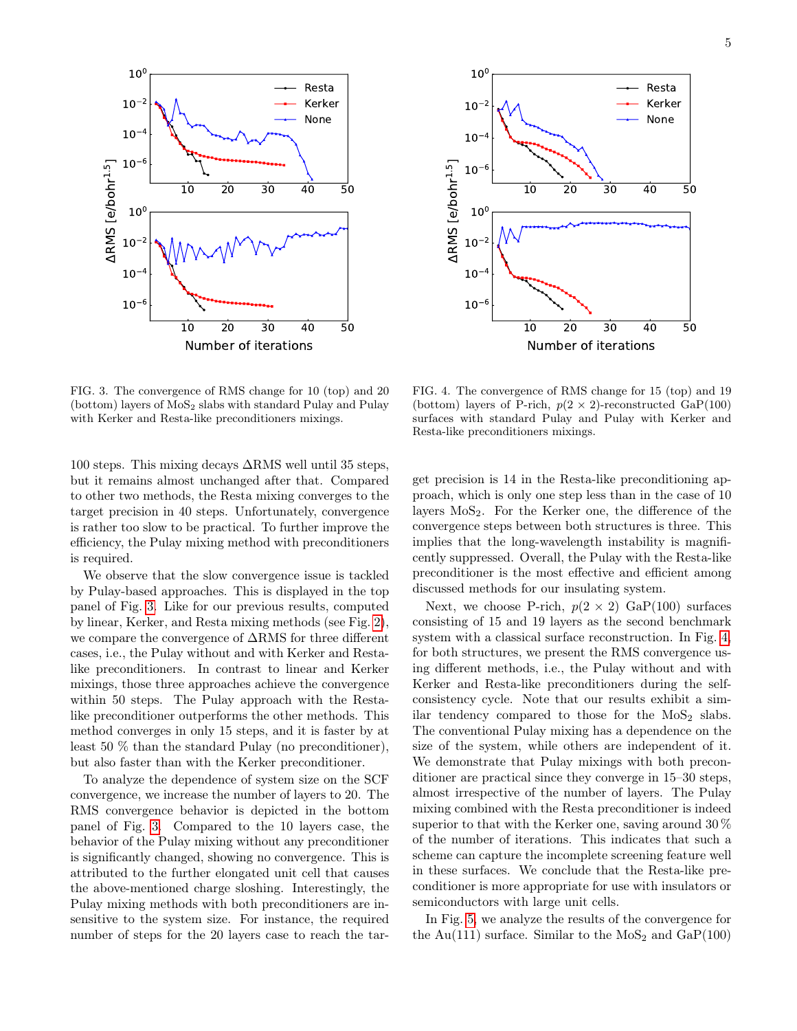



<span id="page-4-0"></span>FIG. 3. The convergence of RMS change for 10 (top) and 20  $(bottom)$  layers of  $MoS<sub>2</sub>$  slabs with standard Pulay and Pulay with Kerker and Resta-like preconditioners mixings.

100 steps. This mixing decays ∆RMS well until 35 steps, but it remains almost unchanged after that. Compared to other two methods, the Resta mixing converges to the target precision in 40 steps. Unfortunately, convergence is rather too slow to be practical. To further improve the efficiency, the Pulay mixing method with preconditioners is required.

We observe that the slow convergence issue is tackled by Pulay-based approaches. This is displayed in the top panel of Fig. [3.](#page-4-0) Like for our previous results, computed by linear, Kerker, and Resta mixing methods (see Fig. [2\)](#page-3-1), we compare the convergence of ∆RMS for three different cases, i.e., the Pulay without and with Kerker and Restalike preconditioners. In contrast to linear and Kerker mixings, those three approaches achieve the convergence within 50 steps. The Pulay approach with the Restalike preconditioner outperforms the other methods. This method converges in only 15 steps, and it is faster by at least 50 % than the standard Pulay (no preconditioner), but also faster than with the Kerker preconditioner.

To analyze the dependence of system size on the SCF convergence, we increase the number of layers to 20. The RMS convergence behavior is depicted in the bottom panel of Fig. [3.](#page-4-0) Compared to the 10 layers case, the behavior of the Pulay mixing without any preconditioner is significantly changed, showing no convergence. This is attributed to the further elongated unit cell that causes the above-mentioned charge sloshing. Interestingly, the Pulay mixing methods with both preconditioners are insensitive to the system size. For instance, the required number of steps for the 20 layers case to reach the tar-

<span id="page-4-1"></span>FIG. 4. The convergence of RMS change for 15 (top) and 19 (bottom) layers of P-rich,  $p(2 \times 2)$ -reconstructed GaP(100) surfaces with standard Pulay and Pulay with Kerker and Resta-like preconditioners mixings.

get precision is 14 in the Resta-like preconditioning approach, which is only one step less than in the case of 10 layers  $MoS<sub>2</sub>$ . For the Kerker one, the difference of the convergence steps between both structures is three. This implies that the long-wavelength instability is magnificently suppressed. Overall, the Pulay with the Resta-like preconditioner is the most effective and efficient among discussed methods for our insulating system.

Next, we choose P-rich,  $p(2 \times 2)$  GaP(100) surfaces consisting of 15 and 19 layers as the second benchmark system with a classical surface reconstruction. In Fig. [4,](#page-4-1) for both structures, we present the RMS convergence using different methods, i.e., the Pulay without and with Kerker and Resta-like preconditioners during the selfconsistency cycle. Note that our results exhibit a similar tendency compared to those for the  $MoS<sub>2</sub>$  slabs. The conventional Pulay mixing has a dependence on the size of the system, while others are independent of it. We demonstrate that Pulay mixings with both preconditioner are practical since they converge in 15–30 steps, almost irrespective of the number of layers. The Pulay mixing combined with the Resta preconditioner is indeed superior to that with the Kerker one, saving around 30 % of the number of iterations. This indicates that such a scheme can capture the incomplete screening feature well in these surfaces. We conclude that the Resta-like preconditioner is more appropriate for use with insulators or semiconductors with large unit cells.

In Fig. [5,](#page-5-19) we analyze the results of the convergence for the Au(111) surface. Similar to the  $MoS<sub>2</sub>$  and  $GaP(100)$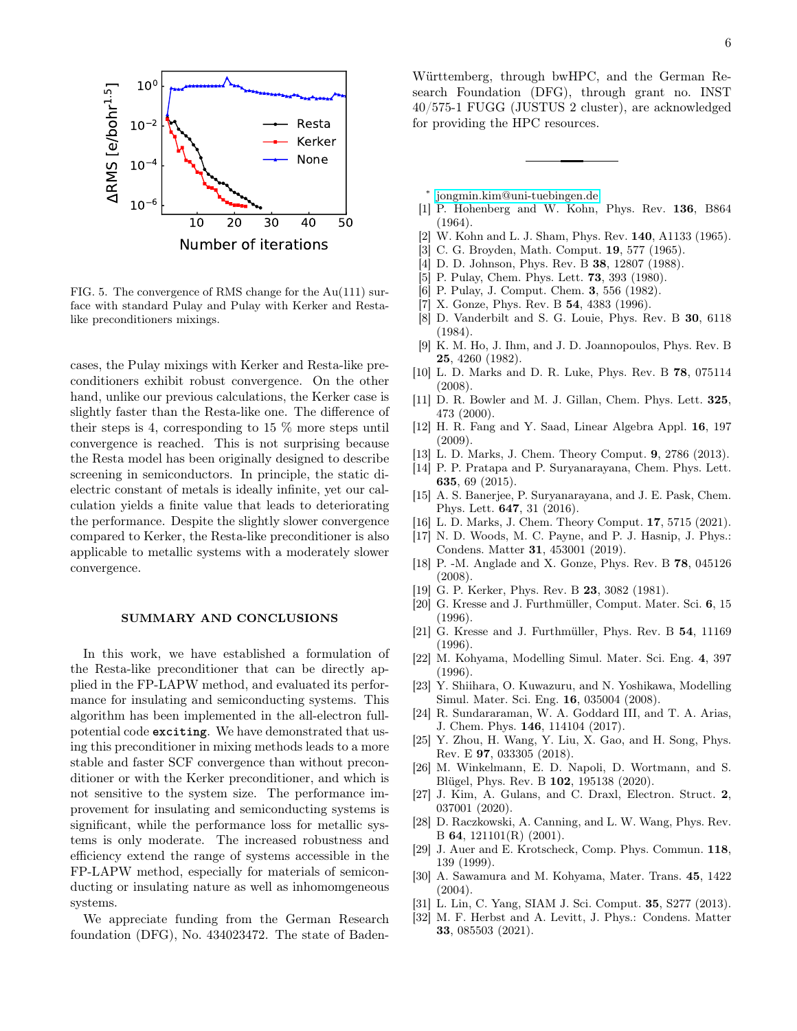

<span id="page-5-19"></span>FIG. 5. The convergence of RMS change for the Au(111) surface with standard Pulay and Pulay with Kerker and Restalike preconditioners mixings.

cases, the Pulay mixings with Kerker and Resta-like preconditioners exhibit robust convergence. On the other hand, unlike our previous calculations, the Kerker case is slightly faster than the Resta-like one. The difference of their steps is 4, corresponding to 15  $\%$  more steps until convergence is reached. This is not surprising because the Resta model has been originally designed to describe screening in semiconductors. In principle, the static dielectric constant of metals is ideally infinite, yet our calculation yields a finite value that leads to deteriorating the performance. Despite the slightly slower convergence compared to Kerker, the Resta-like preconditioner is also applicable to metallic systems with a moderately slower convergence.

## SUMMARY AND CONCLUSIONS

In this work, we have established a formulation of the Resta-like preconditioner that can be directly applied in the FP-LAPW method, and evaluated its performance for insulating and semiconducting systems. This algorithm has been implemented in the all-electron fullpotential code **exciting**. We have demonstrated that using this preconditioner in mixing methods leads to a more stable and faster SCF convergence than without preconditioner or with the Kerker preconditioner, and which is not sensitive to the system size. The performance improvement for insulating and semiconducting systems is significant, while the performance loss for metallic systems is only moderate. The increased robustness and efficiency extend the range of systems accessible in the FP-LAPW method, especially for materials of semiconducting or insulating nature as well as inhomomgeneous systems.

We appreciate funding from the German Research foundation (DFG), No. 434023472. The state of Baden-

Württemberg, through bwHPC, and the German Research Foundation (DFG), through grant no. INST 40/575-1 FUGG (JUSTUS 2 cluster), are acknowledged for providing the HPC resources.

- <span id="page-5-0"></span>∗ [jongmin.kim@uni-tuebingen.de](mailto:jongmin.kim@uni-tuebingen.de)
- <span id="page-5-1"></span>[1] P. Hohenberg and W. Kohn, Phys. Rev. 136, B864 (1964).
- <span id="page-5-2"></span>[2] W. Kohn and L. J. Sham, Phys. Rev. 140, A1133 (1965).
- <span id="page-5-3"></span>[3] C. G. Broyden, Math. Comput. 19, 577 (1965).
- [4] D. D. Johnson, Phys. Rev. B 38, 12807 (1988).
- <span id="page-5-17"></span>[5] P. Pulay, Chem. Phys. Lett. **73**, 393 (1980).
- <span id="page-5-18"></span>[6] P. Pulay, J. Comput. Chem. 3, 556 (1982).
- [7] X. Gonze, Phys. Rev. B **54**, 4383 (1996).
- <span id="page-5-7"></span>[8] D. Vanderbilt and S. G. Louie, Phys. Rev. B 30, 6118 (1984).
- <span id="page-5-8"></span>[9] K. M. Ho, J. Ihm, and J. D. Joannopoulos, Phys. Rev. B 25, 4260 (1982).
- [10] L. D. Marks and D. R. Luke, Phys. Rev. B 78, 075114 (2008).
- [11] D. R. Bowler and M. J. Gillan, Chem. Phys. Lett. 325, 473 (2000).
- [12] H. R. Fang and Y. Saad, Linear Algebra Appl. 16, 197 (2009).
- [13] L. D. Marks, J. Chem. Theory Comput. 9, 2786 (2013).
- [14] P. P. Pratapa and P. Suryanarayana, Chem. Phys. Lett. 635, 69 (2015).
- [15] A. S. Banerjee, P. Suryanarayana, and J. E. Pask, Chem. Phys. Lett. 647, 31 (2016).
- <span id="page-5-4"></span>[16] L. D. Marks, J. Chem. Theory Comput. 17, 5715 (2021).
- <span id="page-5-5"></span>[17] N. D. Woods, M. C. Payne, and P. J. Hasnip, J. Phys.: Condens. Matter 31, 453001 (2019).
- <span id="page-5-9"></span>[18] P. -M. Anglade and X. Gonze, Phys. Rev. B 78, 045126 (2008).
- <span id="page-5-13"></span>[19] G. P. Kerker, Phys. Rev. B **23**, 3082 (1981).
- [20] G. Kresse and J. Furthmüller, Comput. Mater. Sci. 6, 15 (1996).
- <span id="page-5-10"></span>[21] G. Kresse and J. Furthmüller, Phys. Rev. B 54, 11169 (1996).
- [22] M. Kohyama, Modelling Simul. Mater. Sci. Eng. 4, 397 (1996).
- [23] Y. Shiihara, O. Kuwazuru, and N. Yoshikawa, Modelling Simul. Mater. Sci. Eng. 16, 035004 (2008).
- [24] R. Sundararaman, W. A. Goddard III, and T. A. Arias, J. Chem. Phys. 146, 114104 (2017).
- <span id="page-5-14"></span>[25] Y. Zhou, H. Wang, Y. Liu, X. Gao, and H. Song, Phys. Rev. E 97, 033305 (2018).
- <span id="page-5-15"></span>[26] M. Winkelmann, E. D. Napoli, D. Wortmann, and S. Blügel, Phys. Rev. B 102, 195138 (2020).
- <span id="page-5-6"></span>[27] J. Kim, A. Gulans, and C. Draxl, Electron. Struct. 2, 037001 (2020).
- <span id="page-5-11"></span>[28] D. Raczkowski, A. Canning, and L. W. Wang, Phys. Rev. B 64, 121101(R) (2001).
- <span id="page-5-16"></span>[29] J. Auer and E. Krotscheck, Comp. Phys. Commun. 118, 139 (1999).
- [30] A. Sawamura and M. Kohyama, Mater. Trans. 45, 1422  $(2004).$
- [31] L. Lin, C. Yang, SIAM J. Sci. Comput. 35, S277 (2013).
- <span id="page-5-12"></span>[32] M. F. Herbst and A. Levitt, J. Phys.: Condens. Matter 33, 085503 (2021).